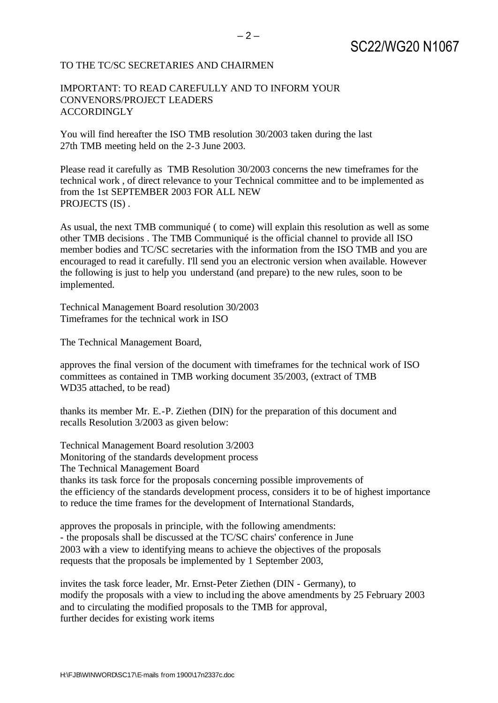## TO THE TC/SC SECRETARIES AND CHAIRMEN

## IMPORTANT: TO READ CAREFULLY AND TO INFORM YOUR CONVENORS/PROJECT LEADERS **ACCORDINGLY**

You will find hereafter the ISO TMB resolution 30/2003 taken during the last 27th TMB meeting held on the 2-3 June 2003.

Please read it carefully as TMB Resolution 30/2003 concerns the new timeframes for the technical work , of direct relevance to your Technical committee and to be implemented as from the 1st SEPTEMBER 2003 FOR ALL NEW PROJECTS (IS) .

As usual, the next TMB communiqué ( to come) will explain this resolution as well as some other TMB decisions . The TMB Communiqué is the official channel to provide all ISO member bodies and TC/SC secretaries with the information from the ISO TMB and you are encouraged to read it carefully. I'll send you an electronic version when available. However the following is just to help you understand (and prepare) to the new rules, soon to be implemented.

Technical Management Board resolution 30/2003 Timeframes for the technical work in ISO

The Technical Management Board,

approves the final version of the document with timeframes for the technical work of ISO committees as contained in TMB working document 35/2003, (extract of TMB WD35 attached, to be read)

thanks its member Mr. E.-P. Ziethen (DIN) for the preparation of this document and recalls Resolution 3/2003 as given below:

Technical Management Board resolution 3/2003 Monitoring of the standards development process The Technical Management Board thanks its task force for the proposals concerning possible improvements of the efficiency of the standards development process, considers it to be of highest importance to reduce the time frames for the development of International Standards,

approves the proposals in principle, with the following amendments: - the proposals shall be discussed at the TC/SC chairs' conference in June 2003 with a view to identifying means to achieve the objectives of the proposals requests that the proposals be implemented by 1 September 2003,

invites the task force leader, Mr. Ernst-Peter Ziethen (DIN - Germany), to modify the proposals with a view to including the above amendments by 25 February 2003 and to circulating the modified proposals to the TMB for approval, further decides for existing work items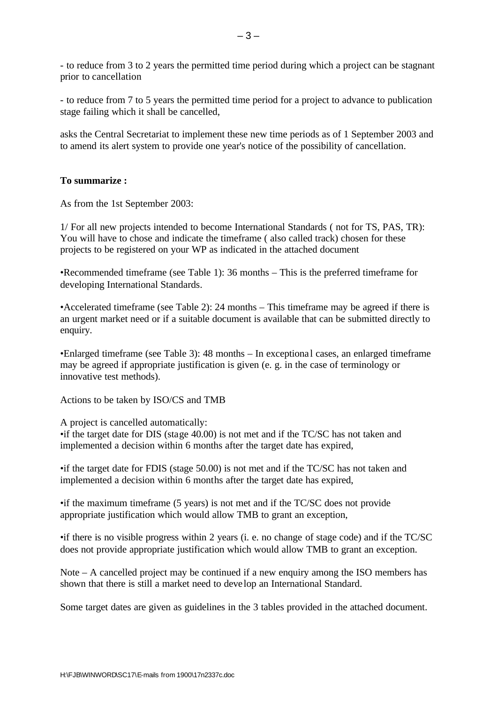- to reduce from 3 to 2 years the permitted time period during which a project can be stagnant prior to cancellation

- to reduce from 7 to 5 years the permitted time period for a project to advance to publication stage failing which it shall be cancelled,

asks the Central Secretariat to implement these new time periods as of 1 September 2003 and to amend its alert system to provide one year's notice of the possibility of cancellation.

## **To summarize :**

As from the 1st September 2003:

1/ For all new projects intended to become International Standards ( not for TS, PAS, TR): You will have to chose and indicate the timeframe ( also called track) chosen for these projects to be registered on your WP as indicated in the attached document

•Recommended timeframe (see Table 1): 36 months – This is the preferred timeframe for developing International Standards.

•Accelerated timeframe (see Table 2): 24 months – This timeframe may be agreed if there is an urgent market need or if a suitable document is available that can be submitted directly to enquiry.

•Enlarged timeframe (see Table 3): 48 months – In exceptional cases, an enlarged timeframe may be agreed if appropriate justification is given (e. g. in the case of terminology or innovative test methods).

Actions to be taken by ISO/CS and TMB

A project is cancelled automatically:

•if the target date for DIS (stage 40.00) is not met and if the TC/SC has not taken and implemented a decision within 6 months after the target date has expired,

•if the target date for FDIS (stage 50.00) is not met and if the TC/SC has not taken and implemented a decision within 6 months after the target date has expired,

•if the maximum timeframe (5 years) is not met and if the TC/SC does not provide appropriate justification which would allow TMB to grant an exception,

•if there is no visible progress within 2 years (i. e. no change of stage code) and if the TC/SC does not provide appropriate justification which would allow TMB to grant an exception.

Note – A cancelled project may be continued if a new enquiry among the ISO members has shown that there is still a market need to deve lop an International Standard.

Some target dates are given as guidelines in the 3 tables provided in the attached document.